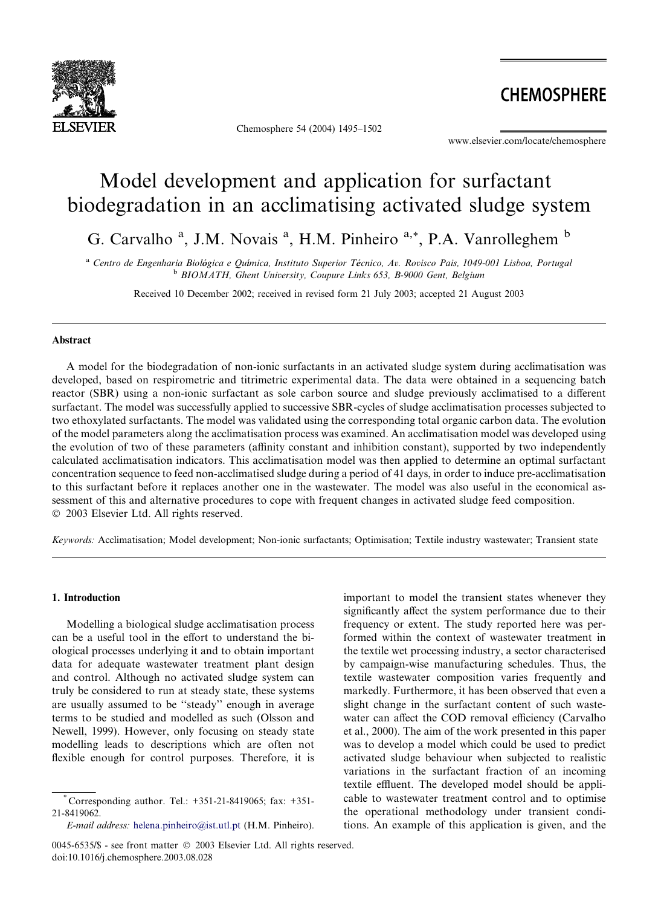

Chemosphere 54 (2004) 1495–1502

**CHEMOSPHERE** 

www.elsevier.com/locate/chemosphere

# Model development and application for surfactant biodegradation in an acclimatising activated sludge system

G. Carvalho<sup>a</sup>, J.M. Novais<sup>a</sup>, H.M. Pinheiro<sup>a,\*</sup>, P.A. Vanrolleghem<sup>b</sup>

<sup>a</sup> Centro de Engenharia Biológica e Química, Instituto Superior Técnico, Av. Rovisco Pais, 1049-001 Lisboa, Portugal<br><sup>b</sup> BIOMATH, Ghent University, Coupure Links 653, B-9000 Gent, Belgium

Received 10 December 2002; received in revised form 21 July 2003; accepted 21 August 2003

# Abstract

A model for the biodegradation of non-ionic surfactants in an activated sludge system during acclimatisation was developed, based on respirometric and titrimetric experimental data. The data were obtained in a sequencing batch reactor (SBR) using a non-ionic surfactant as sole carbon source and sludge previously acclimatised to a different surfactant. The model was successfully applied to successive SBR-cycles of sludge acclimatisation processes subjected to two ethoxylated surfactants. The model was validated using the corresponding total organic carbon data. The evolution of the model parameters along the acclimatisation process was examined. An acclimatisation model was developed using the evolution of two of these parameters (affinity constant and inhibition constant), supported by two independently calculated acclimatisation indicators. This acclimatisation model was then applied to determine an optimal surfactant concentration sequence to feed non-acclimatised sludge during a period of 41 days, in order to induce pre-acclimatisation to this surfactant before it replaces another one in the wastewater. The model was also useful in the economical assessment of this and alternative procedures to cope with frequent changes in activated sludge feed composition. 2003 Elsevier Ltd. All rights reserved.

Keywords: Acclimatisation; Model development; Non-ionic surfactants; Optimisation; Textile industry wastewater; Transient state

#### 1. Introduction

Modelling a biological sludge acclimatisation process can be a useful tool in the effort to understand the biological processes underlying it and to obtain important data for adequate wastewater treatment plant design and control. Although no activated sludge system can truly be considered to run at steady state, these systems are usually assumed to be ''steady'' enough in average terms to be studied and modelled as such (Olsson and Newell, 1999). However, only focusing on steady state modelling leads to descriptions which are often not flexible enough for control purposes. Therefore, it is

important to model the transient states whenever they significantly affect the system performance due to their frequency or extent. The study reported here was performed within the context of wastewater treatment in the textile wet processing industry, a sector characterised by campaign-wise manufacturing schedules. Thus, the textile wastewater composition varies frequently and markedly. Furthermore, it has been observed that even a slight change in the surfactant content of such wastewater can affect the COD removal efficiency (Carvalho et al., 2000). The aim of the work presented in this paper was to develop a model which could be used to predict activated sludge behaviour when subjected to realistic variations in the surfactant fraction of an incoming textile effluent. The developed model should be applicable to wastewater treatment control and to optimise the operational methodology under transient conditions. An example of this application is given, and the

<sup>\*</sup> Corresponding author. Tel.: +351-21-8419065; fax: +351- 21-8419062.

E-mail address: [helena.pinheiro@ist.utl.pt](mail to: helena.pinheiro@ist.utl.pt) (H.M. Pinheiro).

<sup>0045-6535/\$ -</sup> see front matter  $\odot$  2003 Elsevier Ltd. All rights reserved. doi:10.1016/j.chemosphere.2003.08.028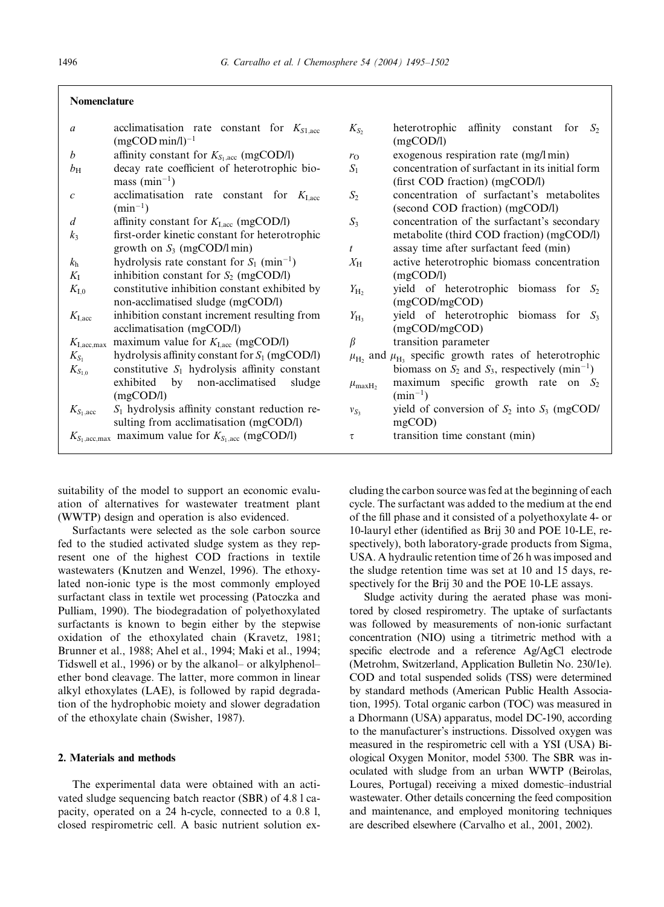## Nomenclature

| a                                    | acclimatisation rate constant for $K_{S1,\text{acc}}$<br>$(mgCOD min/l)^{-1}$ | $K_{S_2}$             | heterotrophic affinity constant for $S_2$<br>$(mg\text{COD/l})$            |  |  |  |
|--------------------------------------|-------------------------------------------------------------------------------|-----------------------|----------------------------------------------------------------------------|--|--|--|
| $\boldsymbol{b}$                     | affinity constant for $K_{S_1,\text{acc}}$ (mgCOD/l)                          | $r_{\rm O}$           | exogenous respiration rate (mg/l min)                                      |  |  |  |
| $b_{\rm H}$                          | decay rate coefficient of heterotrophic bio-                                  | $S_1$                 | concentration of surfactant in its initial form                            |  |  |  |
|                                      | mass $(min^{-1})$                                                             |                       | (first COD fraction) (mg COD/l)                                            |  |  |  |
| $\mathcal{C}$                        | acclimatisation rate constant for $K_{I,acc}$                                 | $S_2$                 | concentration of surfactant's metabolites                                  |  |  |  |
|                                      | $(min^{-1})$                                                                  |                       | (second COD fraction) (mgCOD/l)                                            |  |  |  |
| $\overline{d}$                       | affinity constant for $K_{I,acc}$ (mgCOD/l)                                   | S <sub>3</sub>        | concentration of the surfactant's secondary                                |  |  |  |
| $k_3$                                | first-order kinetic constant for heterotrophic                                |                       | metabolite (third COD fraction) (mgCOD/l)                                  |  |  |  |
|                                      | growth on $S_3$ (mgCOD/lmin)                                                  | $\mathbf{f}$          | assay time after surfactant feed (min)                                     |  |  |  |
| k <sub>h</sub>                       | hydrolysis rate constant for $S_1$ (min <sup>-1</sup> )                       | $X_{\rm H}$           | active heterotrophic biomass concentration                                 |  |  |  |
| $K_I$                                | inhibition constant for $S_2$ (mgCOD/l)                                       |                       | $(mg\text{COD/l})$                                                         |  |  |  |
| $K_{\rm I,0}$                        | constitutive inhibition constant exhibited by                                 | $Y_{\rm H_2}$         | yield of heterotrophic biomass for $S_2$                                   |  |  |  |
|                                      | non-acclimatised sludge (mgCOD/l)                                             |                       | (mgCOD/mgCOD)                                                              |  |  |  |
| $K_{I,acc}$                          | inhibition constant increment resulting from                                  | $Y_{\rm H_2}$         | yield of heterotrophic biomass for $S_3$                                   |  |  |  |
|                                      | acclimatisation (mgCOD/l)                                                     |                       | (mgCOD/mgCOD)                                                              |  |  |  |
| $K_{\text{I},\text{acc},\text{max}}$ | maximum value for $K_{I,acc}$ (mgCOD/l)                                       | $\beta$               | transition parameter                                                       |  |  |  |
| $K_{S_1}$                            | hydrolysis affinity constant for $S_1$ (mgCOD/l)                              |                       | $\mu_{\rm H}$ , and $\mu_{\rm H}$ , specific growth rates of heterotrophic |  |  |  |
| $K_{S_{1,0}}$                        | constitutive $S_1$ hydrolysis affinity constant                               |                       | biomass on $S_2$ and $S_3$ , respectively (min <sup>-1</sup> )             |  |  |  |
|                                      | exhibited by non-acclimatised<br>sludge                                       | $\mu_{\text{maxH}_2}$ | maximum specific growth rate on $S_2$                                      |  |  |  |
|                                      | (mg COD/l)                                                                    |                       | $(min^{-1})$                                                               |  |  |  |
| $K_{S_1, \text{acc}}$                | $S_1$ hydrolysis affinity constant reduction re-                              | $v_{S_3}$             | yield of conversion of $S_2$ into $S_3$ (mgCOD/                            |  |  |  |
|                                      | sulting from acclimatisation (mgCOD/l)                                        |                       | mgCOD                                                                      |  |  |  |
|                                      | $K_{S_1,\text{acc,max}}$ maximum value for $K_{S_1,\text{acc}}$ (mgCOD/l)     | τ                     | transition time constant (min)                                             |  |  |  |
|                                      |                                                                               |                       |                                                                            |  |  |  |

suitability of the model to support an economic evaluation of alternatives for wastewater treatment plant (WWTP) design and operation is also evidenced.

Surfactants were selected as the sole carbon source fed to the studied activated sludge system as they represent one of the highest COD fractions in textile wastewaters (Knutzen and Wenzel, 1996). The ethoxylated non-ionic type is the most commonly employed surfactant class in textile wet processing (Patoczka and Pulliam, 1990). The biodegradation of polyethoxylated surfactants is known to begin either by the stepwise oxidation of the ethoxylated chain (Kravetz, 1981; Brunner et al., 1988; Ahel et al., 1994; Maki et al., 1994; Tidswell et al., 1996) or by the alkanol– or alkylphenol– ether bond cleavage. The latter, more common in linear alkyl ethoxylates (LAE), is followed by rapid degradation of the hydrophobic moiety and slower degradation of the ethoxylate chain (Swisher, 1987).

# 2. Materials and methods

The experimental data were obtained with an activated sludge sequencing batch reactor (SBR) of 4.8 l capacity, operated on a 24 h-cycle, connected to a 0.8 l, closed respirometric cell. A basic nutrient solution ex-

- $S<sub>1</sub>$  concentration of surfactant in its initial form
- $S_2$  concentration of surfactant's metabolites
- $S_3$  concentration of the surfactant's secondary metabolite (third COD fraction) (mgCOD/l)
- 
- $Y_{\text{H}_2}$  yield of heterotrophic biomass for  $S_2$
- 
- $\mu_{\rm H_2}$  and  $\mu_{\rm H_3}$  specific growth rates of heterotrophic biomass on  $S_2$  and  $S_3$ , respectively (min<sup>-1</sup>)
- 
- 

cluding the carbon source was fed at the beginning of each cycle. The surfactant was added to the medium at the end of the fill phase and it consisted of a polyethoxylate 4- or 10-lauryl ether (identified as Brij 30 and POE 10-LE, respectively), both laboratory-grade products from Sigma, USA. A hydraulic retention time of 26 h was imposed and the sludge retention time was set at 10 and 15 days, respectively for the Brij 30 and the POE 10-LE assays.

Sludge activity during the aerated phase was monitored by closed respirometry. The uptake of surfactants was followed by measurements of non-ionic surfactant concentration (NIO) using a titrimetric method with a specific electrode and a reference Ag/AgCl electrode (Metrohm, Switzerland, Application Bulletin No. 230/1e). COD and total suspended solids (TSS) were determined by standard methods (American Public Health Association, 1995). Total organic carbon (TOC) was measured in a Dhormann (USA) apparatus, model DC-190, according to the manufacturer's instructions. Dissolved oxygen was measured in the respirometric cell with a YSI (USA) Biological Oxygen Monitor, model 5300. The SBR was inoculated with sludge from an urban WWTP (Beirolas, Loures, Portugal) receiving a mixed domestic–industrial wastewater. Other details concerning the feed composition and maintenance, and employed monitoring techniques are described elsewhere (Carvalho et al., 2001, 2002).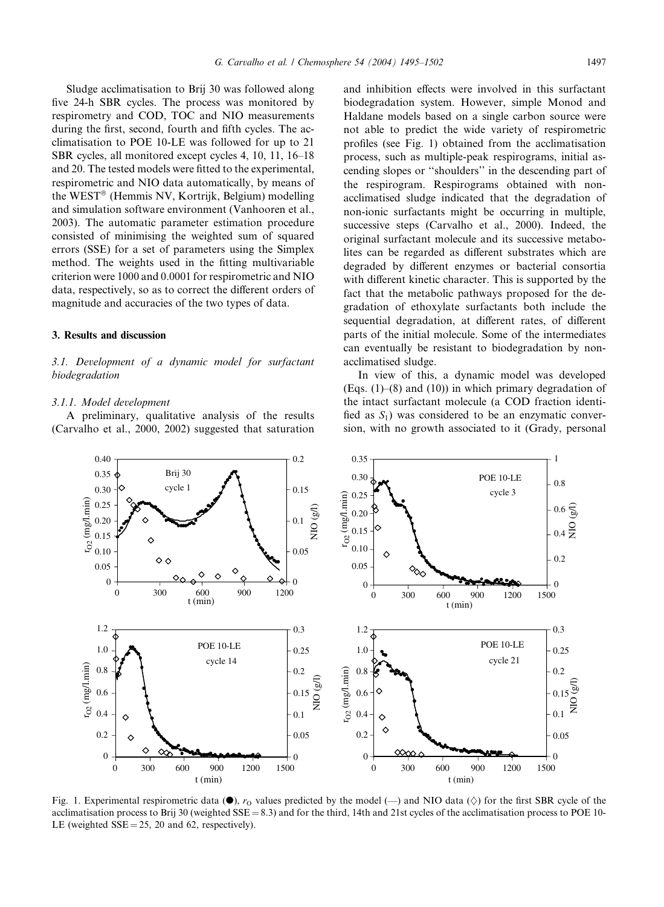Sludge acclimatisation to Brij 30 was followed along five 24-h SBR cycles. The process was monitored by respirometry and COD, TOC and NIO measurements during the first, second, fourth and fifth cycles. The acclimatisation to POE 10-LE was followed for up to 21 SBR cycles, all monitored except cycles 4, 10, 11, 16–18 and 20. The tested models were fitted to the experimental, respirometric and NIO data automatically, by means of the WEST® (Hemmis NV, Kortrijk, Belgium) modelling and simulation software environment (Vanhooren et al., 2003). The automatic parameter estimation procedure consisted of minimising the weighted sum of squared errors (SSE) for a set of parameters using the Simplex method. The weights used in the fitting multivariable criterion were 1000 and 0.0001 for respirometric and NIO data, respectively, so as to correct the different orders of magnitude and accuracies of the two types of data.

#### 3. Results and discussion

3.1. Development of a dynamic model for surfactant biodegradation

#### 3.1.1. Model development

A preliminary, qualitative analysis of the results (Carvalho et al., 2000, 2002) suggested that saturation and inhibition effects were involved in this surfactant biodegradation system. However, simple Monod and Haldane models based on a single carbon source were not able to predict the wide variety of respirometric profiles (see Fig. 1) obtained from the acclimatisation process, such as multiple-peak respirograms, initial ascending slopes or ''shoulders'' in the descending part of the respirogram. Respirograms obtained with nonacclimatised sludge indicated that the degradation of non-ionic surfactants might be occurring in multiple, successive steps (Carvalho et al., 2000). Indeed, the original surfactant molecule and its successive metabolites can be regarded as different substrates which are degraded by different enzymes or bacterial consortia with different kinetic character. This is supported by the fact that the metabolic pathways proposed for the degradation of ethoxylate surfactants both include the sequential degradation, at different rates, of different parts of the initial molecule. Some of the intermediates can eventually be resistant to biodegradation by nonacclimatised sludge.

In view of this, a dynamic model was developed (Eqs. (1)–(8) and (10)) in which primary degradation of the intact surfactant molecule (a COD fraction identified as  $S_1$ ) was considered to be an enzymatic conversion, with no growth associated to it (Grady, personal



Fig. 1. Experimental respirometric data  $(\bullet)$ ,  $r_0$  values predicted by the model  $(-)$  and NIO data  $(\diamond)$  for the first SBR cycle of the acclimatisation process to Brij 30 (weighted  $SSE = 8.3$ ) and for the third, 14th and 21st cycles of the acclimatisation process to POE 10-LE (weighted  $SSE = 25$ , 20 and 62, respectively).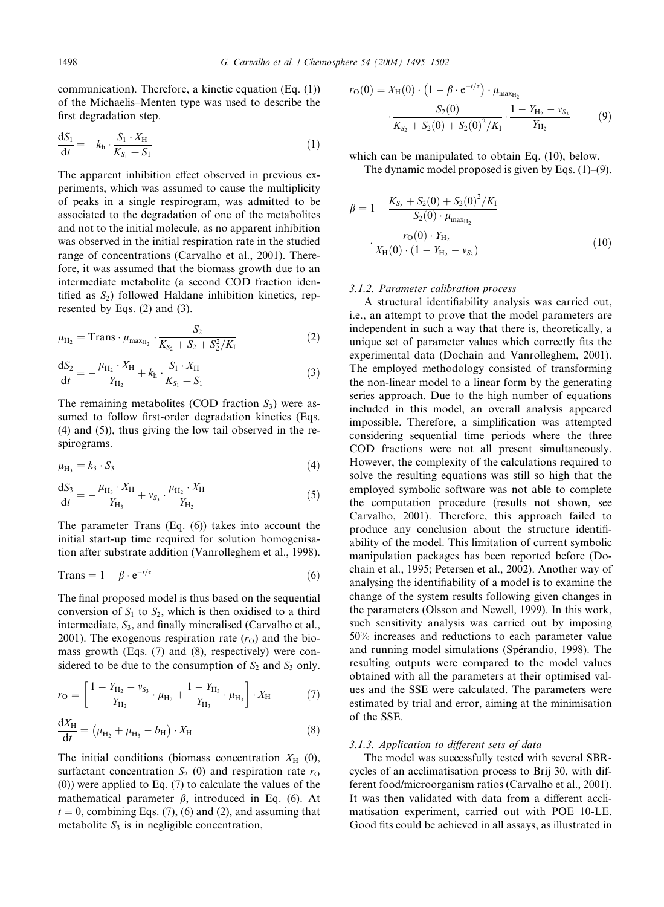communication). Therefore, a kinetic equation (Eq. (1)) of the Michaelis–Menten type was used to describe the first degradation step.

$$
\frac{dS_1}{dt} = -k_{\rm h} \cdot \frac{S_1 \cdot X_{\rm H}}{K_{S_1} + S_1}
$$
 (1)

The apparent inhibition effect observed in previous experiments, which was assumed to cause the multiplicity of peaks in a single respirogram, was admitted to be associated to the degradation of one of the metabolites and not to the initial molecule, as no apparent inhibition was observed in the initial respiration rate in the studied range of concentrations (Carvalho et al., 2001). Therefore, it was assumed that the biomass growth due to an intermediate metabolite (a second COD fraction identified as  $S_2$ ) followed Haldane inhibition kinetics, represented by Eqs. (2) and (3).

$$
\mu_{\rm H_2} = \text{Trans} \cdot \mu_{\rm max_{H_2}} \cdot \frac{S_2}{K_{S_2} + S_2 + S_2^2/K_{\rm I}} \tag{2}
$$

$$
\frac{dS_2}{dt} = -\frac{\mu_{H_2} \cdot X_H}{Y_{H_2}} + k_h \cdot \frac{S_1 \cdot X_H}{K_{S_1} + S_1}
$$
(3)

The remaining metabolites (COD fraction  $S_3$ ) were assumed to follow first-order degradation kinetics (Eqs. (4) and (5)), thus giving the low tail observed in the respirograms.

$$
\mu_{\rm H_3} = k_3 \cdot S_3 \tag{4}
$$

$$
\frac{dS_3}{dt} = -\frac{\mu_{H_3} \cdot X_H}{Y_{H_3}} + v_{S_3} \cdot \frac{\mu_{H_2} \cdot X_H}{Y_{H_2}}
$$
(5)

The parameter Trans (Eq. (6)) takes into account the initial start-up time required for solution homogenisation after substrate addition (Vanrolleghem et al., 1998).

$$
\text{Trans} = 1 - \beta \cdot e^{-t/\tau} \tag{6}
$$

The final proposed model is thus based on the sequential conversion of  $S_1$  to  $S_2$ , which is then oxidised to a third intermediate,  $S_3$ , and finally mineralised (Carvalho et al., 2001). The exogenous respiration rate  $(r<sub>O</sub>)$  and the biomass growth (Eqs. (7) and (8), respectively) were considered to be due to the consumption of  $S_2$  and  $S_3$  only.

$$
r_{\rm O} = \left[ \frac{1 - Y_{\rm H_2} - v_{S_3}}{Y_{\rm H_2}} \cdot \mu_{\rm H_2} + \frac{1 - Y_{\rm H_3}}{Y_{\rm H_3}} \cdot \mu_{\rm H_3} \right] \cdot X_{\rm H} \tag{7}
$$

$$
\frac{dX_{H}}{dt} = (\mu_{H_{2}} + \mu_{H_{3}} - b_{H}) \cdot X_{H}
$$
 (8)

The initial conditions (biomass concentration  $X_{\rm H}$  (0), surfactant concentration  $S_2$  (0) and respiration rate  $r_0$ (0)) were applied to Eq. (7) to calculate the values of the mathematical parameter  $\beta$ , introduced in Eq. (6). At  $t = 0$ , combining Eqs. (7), (6) and (2), and assuming that metabolite  $S_3$  is in negligible concentration,

$$
r_{\mathcal{O}}(0) = X_{\mathcal{H}}(0) \cdot \left(1 - \beta \cdot e^{-t/\tau}\right) \cdot \mu_{\max_{H_2}} \n\cdot \frac{S_2(0)}{K_{S_2} + S_2(0) + S_2(0)^2/K_{\mathcal{I}}} \cdot \frac{1 - Y_{\mathcal{H}_2} - v_{S_3}}{Y_{\mathcal{H}_2}}
$$
\n(9)

which can be manipulated to obtain Eq. (10), below. The dynamic model proposed is given by Eqs.  $(1)$ – $(9)$ .

$$
\beta = 1 - \frac{K_{S_2} + S_2(0) + S_2(0)^2 / K_{\text{I}}}{S_2(0) \cdot \mu_{\text{max}_{\text{H}_2}}} \cdot \frac{r_{\text{O}}(0) \cdot Y_{\text{H}_2}}{X_{\text{H}}(0) \cdot (1 - Y_{\text{H}_2} - v_{S_3})}
$$
(10)

# 3.1.2. Parameter calibration process

A structural identifiability analysis was carried out, i.e., an attempt to prove that the model parameters are independent in such a way that there is, theoretically, a unique set of parameter values which correctly fits the experimental data (Dochain and Vanrolleghem, 2001). The employed methodology consisted of transforming the non-linear model to a linear form by the generating series approach. Due to the high number of equations included in this model, an overall analysis appeared impossible. Therefore, a simplification was attempted considering sequential time periods where the three COD fractions were not all present simultaneously. However, the complexity of the calculations required to solve the resulting equations was still so high that the employed symbolic software was not able to complete the computation procedure (results not shown, see Carvalho, 2001). Therefore, this approach failed to produce any conclusion about the structure identifiability of the model. This limitation of current symbolic manipulation packages has been reported before (Dochain et al., 1995; Petersen et al., 2002). Another way of analysing the identifiability of a model is to examine the change of the system results following given changes in the parameters (Olsson and Newell, 1999). In this work, such sensitivity analysis was carried out by imposing 50% increases and reductions to each parameter value and running model simulations (Spérandio, 1998). The resulting outputs were compared to the model values obtained with all the parameters at their optimised values and the SSE were calculated. The parameters were estimated by trial and error, aiming at the minimisation of the SSE.

# 3.1.3. Application to different sets of data

The model was successfully tested with several SBRcycles of an acclimatisation process to Brij 30, with different food/microorganism ratios (Carvalho et al., 2001). It was then validated with data from a different acclimatisation experiment, carried out with POE 10-LE. Good fits could be achieved in all assays, as illustrated in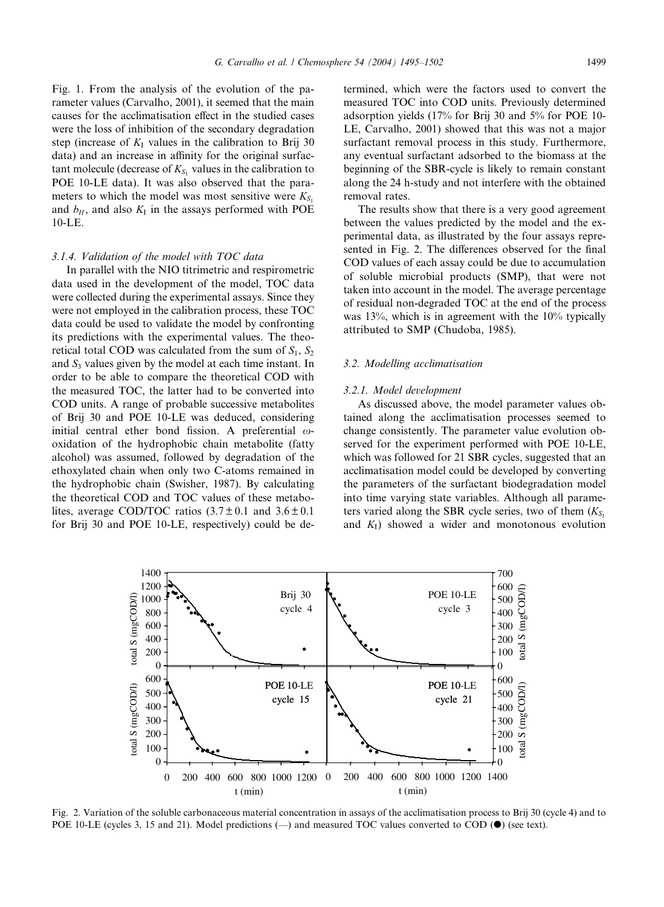Fig. 1. From the analysis of the evolution of the parameter values (Carvalho, 2001), it seemed that the main causes for the acclimatisation effect in the studied cases were the loss of inhibition of the secondary degradation step (increase of  $K_I$  values in the calibration to Brij 30 data) and an increase in affinity for the original surfactant molecule (decrease of  $K_{S_1}$  values in the calibration to POE 10-LE data). It was also observed that the parameters to which the model was most sensitive were  $K_{S_1}$ and  $b_H$ , and also  $K_I$  in the assays performed with POE 10-LE.

## 3.1.4. Validation of the model with TOC data

In parallel with the NIO titrimetric and respirometric data used in the development of the model, TOC data were collected during the experimental assays. Since they were not employed in the calibration process, these TOC data could be used to validate the model by confronting its predictions with the experimental values. The theoretical total COD was calculated from the sum of  $S_1$ ,  $S_2$ and  $S<sub>3</sub>$  values given by the model at each time instant. In order to be able to compare the theoretical COD with the measured TOC, the latter had to be converted into COD units. A range of probable successive metabolites of Brij 30 and POE 10-LE was deduced, considering initial central ether bond fission. A preferential  $\omega$ oxidation of the hydrophobic chain metabolite (fatty alcohol) was assumed, followed by degradation of the ethoxylated chain when only two C-atoms remained in the hydrophobic chain (Swisher, 1987). By calculating the theoretical COD and TOC values of these metabolites, average COD/TOC ratios  $(3.7 \pm 0.1 \text{ and } 3.6 \pm 0.1 \text{)}$ for Brij 30 and POE 10-LE, respectively) could be determined, which were the factors used to convert the measured TOC into COD units. Previously determined adsorption yields (17% for Brij 30 and 5% for POE 10- LE, Carvalho, 2001) showed that this was not a major surfactant removal process in this study. Furthermore, any eventual surfactant adsorbed to the biomass at the beginning of the SBR-cycle is likely to remain constant along the 24 h-study and not interfere with the obtained removal rates.

The results show that there is a very good agreement between the values predicted by the model and the experimental data, as illustrated by the four assays represented in Fig. 2. The differences observed for the final COD values of each assay could be due to accumulation of soluble microbial products (SMP), that were not taken into account in the model. The average percentage of residual non-degraded TOC at the end of the process was 13%, which is in agreement with the 10% typically attributed to SMP (Chudoba, 1985).

#### 3.2. Modelling acclimatisation

#### 3.2.1. Model development

As discussed above, the model parameter values obtained along the acclimatisation processes seemed to change consistently. The parameter value evolution observed for the experiment performed with POE 10-LE, which was followed for 21 SBR cycles, suggested that an acclimatisation model could be developed by converting the parameters of the surfactant biodegradation model into time varying state variables. Although all parameters varied along the SBR cycle series, two of them  $(K_{S_1})$ and  $K_I$ ) showed a wider and monotonous evolution



Fig. 2. Variation of the soluble carbonaceous material concentration in assays of the acclimatisation process to Brij 30 (cycle 4) and to POE 10-LE (cycles 3, 15 and 21). Model predictions  $(-)$  and measured TOC values converted to COD ( $\bullet$ ) (see text).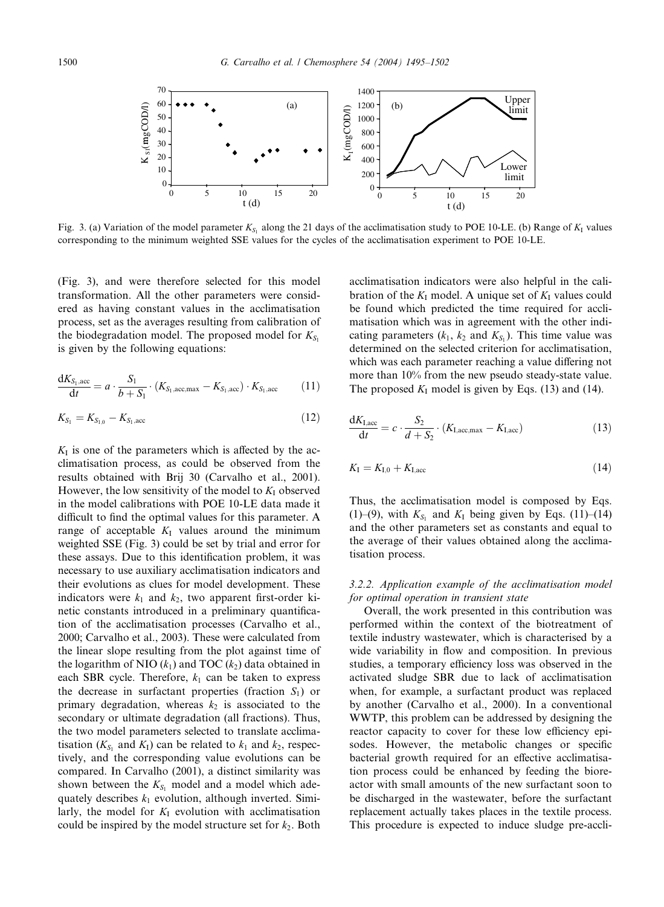

Fig. 3. (a) Variation of the model parameter  $K_{S_1}$  along the 21 days of the acclimatisation study to POE 10-LE. (b) Range of  $K_1$  values corresponding to the minimum weighted SSE values for the cycles of the acclimatisation experiment to POE 10-LE.

(Fig. 3), and were therefore selected for this model transformation. All the other parameters were considered as having constant values in the acclimatisation process, set as the averages resulting from calibration of the biodegradation model. The proposed model for  $K_{S_1}$ is given by the following equations:

$$
\frac{\mathrm{d}K_{S_1,\mathrm{acc}}}{\mathrm{d}t} = a \cdot \frac{S_1}{b+S_1} \cdot (K_{S_1,\mathrm{acc},\mathrm{max}} - K_{S_1,\mathrm{acc}}) \cdot K_{S_1,\mathrm{acc}} \tag{11}
$$

$$
K_{S_1} = K_{S_{1,0}} - K_{S_1,\text{acc}} \tag{12}
$$

 $K_I$  is one of the parameters which is affected by the acclimatisation process, as could be observed from the results obtained with Brij 30 (Carvalho et al., 2001). However, the low sensitivity of the model to  $K_I$  observed in the model calibrations with POE 10-LE data made it difficult to find the optimal values for this parameter. A range of acceptable  $K_I$  values around the minimum weighted SSE (Fig. 3) could be set by trial and error for these assays. Due to this identification problem, it was necessary to use auxiliary acclimatisation indicators and their evolutions as clues for model development. These indicators were  $k_1$  and  $k_2$ , two apparent first-order kinetic constants introduced in a preliminary quantification of the acclimatisation processes (Carvalho et al., 2000; Carvalho et al., 2003). These were calculated from the linear slope resulting from the plot against time of the logarithm of NIO  $(k_1)$  and TOC  $(k_2)$  data obtained in each SBR cycle. Therefore,  $k_1$  can be taken to express the decrease in surfactant properties (fraction  $S_1$ ) or primary degradation, whereas  $k_2$  is associated to the secondary or ultimate degradation (all fractions). Thus, the two model parameters selected to translate acclimatisation ( $K_{S_1}$  and  $K_1$ ) can be related to  $k_1$  and  $k_2$ , respectively, and the corresponding value evolutions can be compared. In Carvalho (2001), a distinct similarity was shown between the  $K_{S_1}$  model and a model which adequately describes  $k_1$  evolution, although inverted. Similarly, the model for  $K_I$  evolution with acclimatisation could be inspired by the model structure set for  $k_2$ . Both acclimatisation indicators were also helpful in the calibration of the  $K_I$  model. A unique set of  $K_I$  values could be found which predicted the time required for acclimatisation which was in agreement with the other indicating parameters  $(k_1, k_2 \text{ and } K_{S_1})$ . This time value was determined on the selected criterion for acclimatisation, which was each parameter reaching a value differing not more than 10% from the new pseudo steady-state value. The proposed  $K_I$  model is given by Eqs. (13) and (14).

$$
\frac{\mathrm{d}K_{\mathrm{I,acc}}}{\mathrm{d}t} = c \cdot \frac{S_2}{d + S_2} \cdot (K_{\mathrm{I,acc,max}} - K_{\mathrm{I,acc}}) \tag{13}
$$

$$
K_{\rm I} = K_{\rm I,0} + K_{\rm I,acc} \tag{14}
$$

Thus, the acclimatisation model is composed by Eqs. (1)–(9), with  $K_{S_1}$  and  $K_I$  being given by Eqs. (11)–(14) and the other parameters set as constants and equal to the average of their values obtained along the acclimatisation process.

# 3.2.2. Application example of the acclimatisation model for optimal operation in transient state

Overall, the work presented in this contribution was performed within the context of the biotreatment of textile industry wastewater, which is characterised by a wide variability in flow and composition. In previous studies, a temporary efficiency loss was observed in the activated sludge SBR due to lack of acclimatisation when, for example, a surfactant product was replaced by another (Carvalho et al., 2000). In a conventional WWTP, this problem can be addressed by designing the reactor capacity to cover for these low efficiency episodes. However, the metabolic changes or specific bacterial growth required for an effective acclimatisation process could be enhanced by feeding the bioreactor with small amounts of the new surfactant soon to be discharged in the wastewater, before the surfactant replacement actually takes places in the textile process. This procedure is expected to induce sludge pre-accli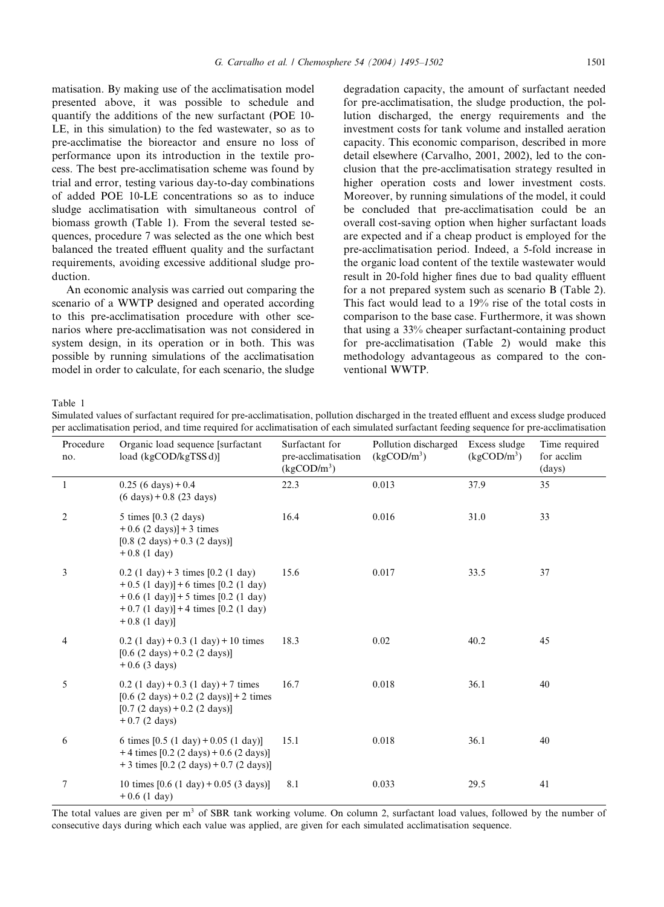matisation. By making use of the acclimatisation model presented above, it was possible to schedule and quantify the additions of the new surfactant (POE 10- LE, in this simulation) to the fed wastewater, so as to pre-acclimatise the bioreactor and ensure no loss of performance upon its introduction in the textile process. The best pre-acclimatisation scheme was found by trial and error, testing various day-to-day combinations of added POE 10-LE concentrations so as to induce sludge acclimatisation with simultaneous control of biomass growth (Table 1). From the several tested sequences, procedure 7 was selected as the one which best balanced the treated effluent quality and the surfactant requirements, avoiding excessive additional sludge production.

An economic analysis was carried out comparing the scenario of a WWTP designed and operated according to this pre-acclimatisation procedure with other scenarios where pre-acclimatisation was not considered in system design, in its operation or in both. This was possible by running simulations of the acclimatisation model in order to calculate, for each scenario, the sludge degradation capacity, the amount of surfactant needed for pre-acclimatisation, the sludge production, the pollution discharged, the energy requirements and the investment costs for tank volume and installed aeration capacity. This economic comparison, described in more detail elsewhere (Carvalho, 2001, 2002), led to the conclusion that the pre-acclimatisation strategy resulted in higher operation costs and lower investment costs. Moreover, by running simulations of the model, it could be concluded that pre-acclimatisation could be an overall cost-saving option when higher surfactant loads are expected and if a cheap product is employed for the pre-acclimatisation period. Indeed, a 5-fold increase in the organic load content of the textile wastewater would result in 20-fold higher fines due to bad quality effluent for a not prepared system such as scenario B (Table 2). This fact would lead to a 19% rise of the total costs in comparison to the base case. Furthermore, it was shown that using a 33% cheaper surfactant-containing product for pre-acclimatisation (Table 2) would make this methodology advantageous as compared to the conventional WWTP.

Table 1

Simulated values of surfactant required for pre-acclimatisation, pollution discharged in the treated effluent and excess sludge produced per acclimatisation period, and time required for acclimatisation of each simulated surfactant feeding sequence for pre-acclimatisation

| Procedure<br>no. | Organic load sequence [surfactant<br>load (kgCOD/kgTSS d)]                                                                                                                            | Surfactant for<br>pre-acclimatisation<br>(kgCOD/m <sup>3</sup> ) | Pollution discharged<br>(kgCOD/m <sup>3</sup> ) | Excess sludge<br>(kgCOD/m <sup>3</sup> ) | Time required<br>for acclim<br>(days) |
|------------------|---------------------------------------------------------------------------------------------------------------------------------------------------------------------------------------|------------------------------------------------------------------|-------------------------------------------------|------------------------------------------|---------------------------------------|
| $\mathbf{1}$     | $0.25(6 \text{ days}) + 0.4$<br>$(6 \text{ days}) + 0.8 (23 \text{ days})$                                                                                                            | 22.3                                                             | 0.013                                           | 37.9                                     | 35                                    |
| 2                | $5 \times 10.3$ (2 days)<br>$+0.6$ (2 days)] + 3 times<br>$[0.8 (2 \text{ days}) + 0.3 (2 \text{ days})]$<br>$+0.8$ (1 day)                                                           | 16.4                                                             | 0.016                                           | 31.0                                     | 33                                    |
| 3                | $0.2$ (1 day) + 3 times [0.2 (1 day)<br>$+0.5$ (1 day)] + 6 times [0.2 (1 day)<br>$+0.6$ (1 day)] + 5 times [0.2 (1 day)<br>$+0.7$ (1 day)] + 4 times [0.2 (1 day)<br>$+0.8$ (1 day)] | 15.6                                                             | 0.017                                           | 33.5                                     | 37                                    |
| 4                | $0.2$ (1 day) + 0.3 (1 day) + 10 times<br>$[0.6 (2 days) + 0.2 (2 days)]$<br>$+0.6$ (3 days)                                                                                          | 18.3                                                             | 0.02                                            | 40.2                                     | 45                                    |
| 5                | $0.2$ (1 day) + 0.3 (1 day) + 7 times<br>$[0.6 (2 days) + 0.2 (2 days)] + 2 times$<br>$[0.7 (2 days) + 0.2 (2 days)]$<br>$+0.7$ (2 days)                                              | 16.7                                                             | 0.018                                           | 36.1                                     | 40                                    |
| 6                | 6 times $[0.5 (1 day) + 0.05 (1 day)]$<br>$+4$ times [0.2 (2 days) + 0.6 (2 days)]<br>$+3$ times [0.2 (2 days) + 0.7 (2 days)]                                                        | 15.1                                                             | 0.018                                           | 36.1                                     | 40                                    |
| 7                | 10 times $[0.6 (1 day) + 0.05 (3 days)]$<br>$+0.6$ (1 day)                                                                                                                            | 8.1                                                              | 0.033                                           | 29.5                                     | 41                                    |

The total values are given per  $m<sup>3</sup>$  of SBR tank working volume. On column 2, surfactant load values, followed by the number of consecutive days during which each value was applied, are given for each simulated acclimatisation sequence.